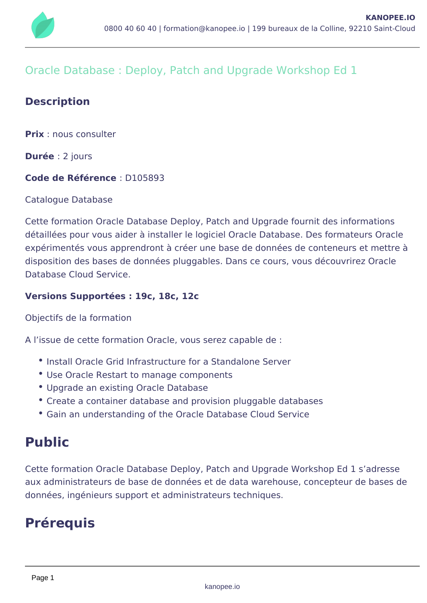

# Oracle Database : Deploy, Patch and Upgrade Workshop Ed 1

# **Description**

**Prix** : nous consulter

**Durée** : 2 jours

## **Code de Référence** : D105893

Catalogue Database

Cette formation Oracle Database Deploy, Patch and Upgrade fournit des informations détaillées pour vous aider à installer le logiciel Oracle Database. Des formateurs Oracle expérimentés vous apprendront à créer une base de données de conteneurs et mettre à disposition des bases de données pluggables. Dans ce cours, vous découvrirez Oracle Database Cloud Service.

#### **Versions Supportées : 19c, 18c, 12c**

Objectifs de la formation

A l'issue de cette formation Oracle, vous serez capable de :

- Install Oracle Grid Infrastructure for a Standalone Server
- Use Oracle Restart to manage components
- Upgrade an existing Oracle Database
- Create a container database and provision pluggable databases
- Gain an understanding of the Oracle Database Cloud Service

# **Public**

Cette formation Oracle Database Deploy, Patch and Upgrade Workshop Ed 1 s'adresse aux administrateurs de base de données et de data warehouse, concepteur de bases de données, ingénieurs support et administrateurs techniques.

# **Prérequis**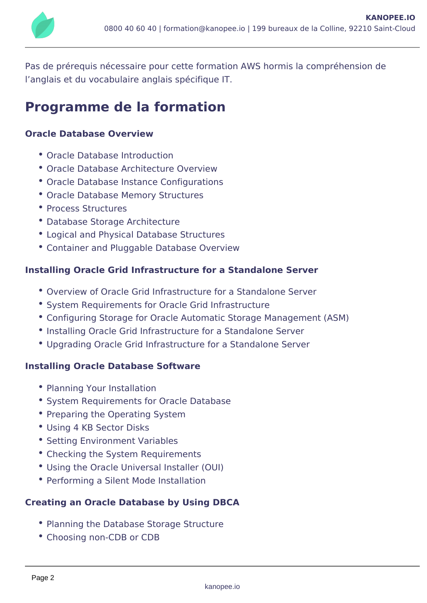

Pas de prérequis nécessaire pour cette formation AWS hormis la compréhension de l'anglais et du vocabulaire anglais spécifique IT.

# **Programme de la formation**

## **Oracle Database Overview**

- Oracle Database Introduction
- Oracle Database Architecture Overview
- Oracle Database Instance Configurations
- Oracle Database Memory Structures
- Process Structures
- Database Storage Architecture
- Logical and Physical Database Structures
- Container and Pluggable Database Overview

#### **Installing Oracle Grid Infrastructure for a Standalone Server**

- Overview of Oracle Grid Infrastructure for a Standalone Server
- **System Requirements for Oracle Grid Infrastructure**
- Configuring Storage for Oracle Automatic Storage Management (ASM)
- Installing Oracle Grid Infrastructure for a Standalone Server
- Upgrading Oracle Grid Infrastructure for a Standalone Server

#### **Installing Oracle Database Software**

- Planning Your Installation
- System Requirements for Oracle Database
- Preparing the Operating System
- Using 4 KB Sector Disks
- Setting Environment Variables
- Checking the System Requirements
- Using the Oracle Universal Installer (OUI)
- Performing a Silent Mode Installation

## **Creating an Oracle Database by Using DBCA**

- Planning the Database Storage Structure
- Choosing non-CDB or CDB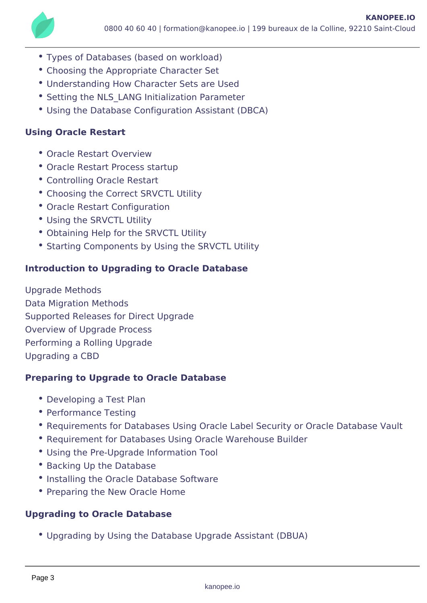- Types of Databases (based on workload)
- Choosing the Appropriate Character Set
- Understanding How Character Sets are Used
- Setting the NLS LANG Initialization Parameter
- Using the Database Configuration Assistant (DBCA)

# **Using Oracle Restart**

- Oracle Restart Overview
- Oracle Restart Process startup
- Controlling Oracle Restart
- Choosing the Correct SRVCTL Utility
- Oracle Restart Configuration
- Using the SRVCTL Utility
- Obtaining Help for the SRVCTL Utility
- Starting Components by Using the SRVCTL Utility

# **Introduction to Upgrading to Oracle Database**

Upgrade Methods Data Migration Methods Supported Releases for Direct Upgrade Overview of Upgrade Process Performing a Rolling Upgrade Upgrading a CBD

## **Preparing to Upgrade to Oracle Database**

- Developing a Test Plan
- Performance Testing
- Requirements for Databases Using Oracle Label Security or Oracle Database Vault
- Requirement for Databases Using Oracle Warehouse Builder
- Using the Pre-Upgrade Information Tool
- Backing Up the Database
- Installing the Oracle Database Software
- Preparing the New Oracle Home

## **Upgrading to Oracle Database**

Upgrading by Using the Database Upgrade Assistant (DBUA)